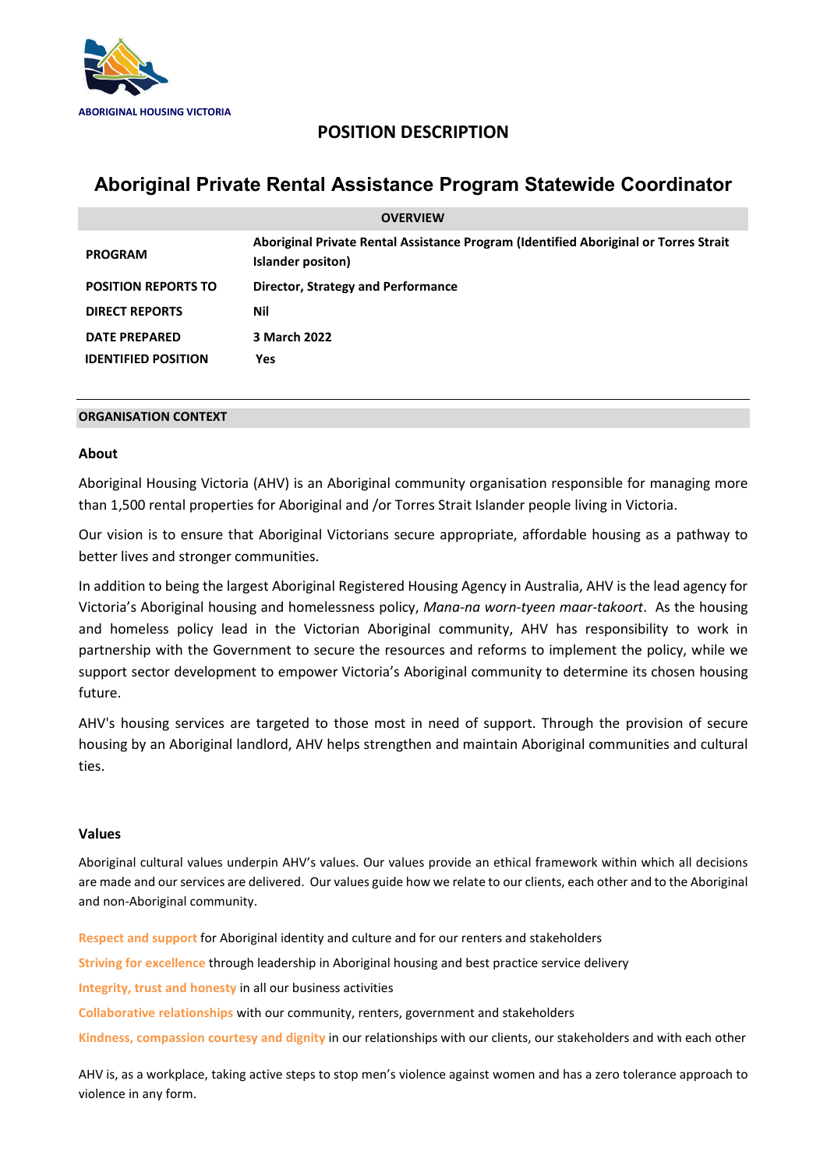

# **POSITION DESCRIPTION**

# **Aboriginal Private Rental Assistance Program Statewide Coordinator**

| <b>OVERVIEW</b>            |                                                                                                           |
|----------------------------|-----------------------------------------------------------------------------------------------------------|
| <b>PROGRAM</b>             | Aboriginal Private Rental Assistance Program (Identified Aboriginal or Torres Strait<br>Islander positon) |
| <b>POSITION REPORTS TO</b> | Director, Strategy and Performance                                                                        |
| <b>DIRECT REPORTS</b>      | Nil                                                                                                       |
| <b>DATE PREPARED</b>       | 3 March 2022                                                                                              |
| <b>IDENTIFIED POSITION</b> | Yes                                                                                                       |

# **ORGANISATION CONTEXT**

# **About**

Aboriginal Housing Victoria (AHV) is an Aboriginal community organisation responsible for managing more than 1,500 rental properties for Aboriginal and /or Torres Strait Islander people living in Victoria.

Our vision is to ensure that Aboriginal Victorians secure appropriate, affordable housing as a pathway to better lives and stronger communities.

In addition to being the largest Aboriginal Registered Housing Agency in Australia, AHV is the lead agency for Victoria's Aboriginal housing and homelessness policy, *Mana-na worn-tyeen maar-takoort*. As the housing and homeless policy lead in the Victorian Aboriginal community, AHV has responsibility to work in partnership with the Government to secure the resources and reforms to implement the policy, while we support sector development to empower Victoria's Aboriginal community to determine its chosen housing future.

AHV's housing services are targeted to those most in need of support. Through the provision of secure housing by an Aboriginal landlord, AHV helps strengthen and maintain Aboriginal communities and cultural ties.

# **Values**

Aboriginal cultural values underpin AHV's values. Our values provide an ethical framework within which all decisions are made and our services are delivered. Our values guide how we relate to our clients, each other and to the Aboriginal and non-Aboriginal community.

**Respect and support** for Aboriginal identity and culture and for our renters and stakeholders **Striving for excellence** through leadership in Aboriginal housing and best practice service delivery **Integrity, trust and honesty** in all our business activities **Collaborative relationships** with our community, renters, government and stakeholders **Kindness, compassion courtesy and dignity** in our relationships with our clients, our stakeholders and with each other

AHV is, as a workplace, taking active steps to stop men's violence against women and has a zero tolerance approach to violence in any form.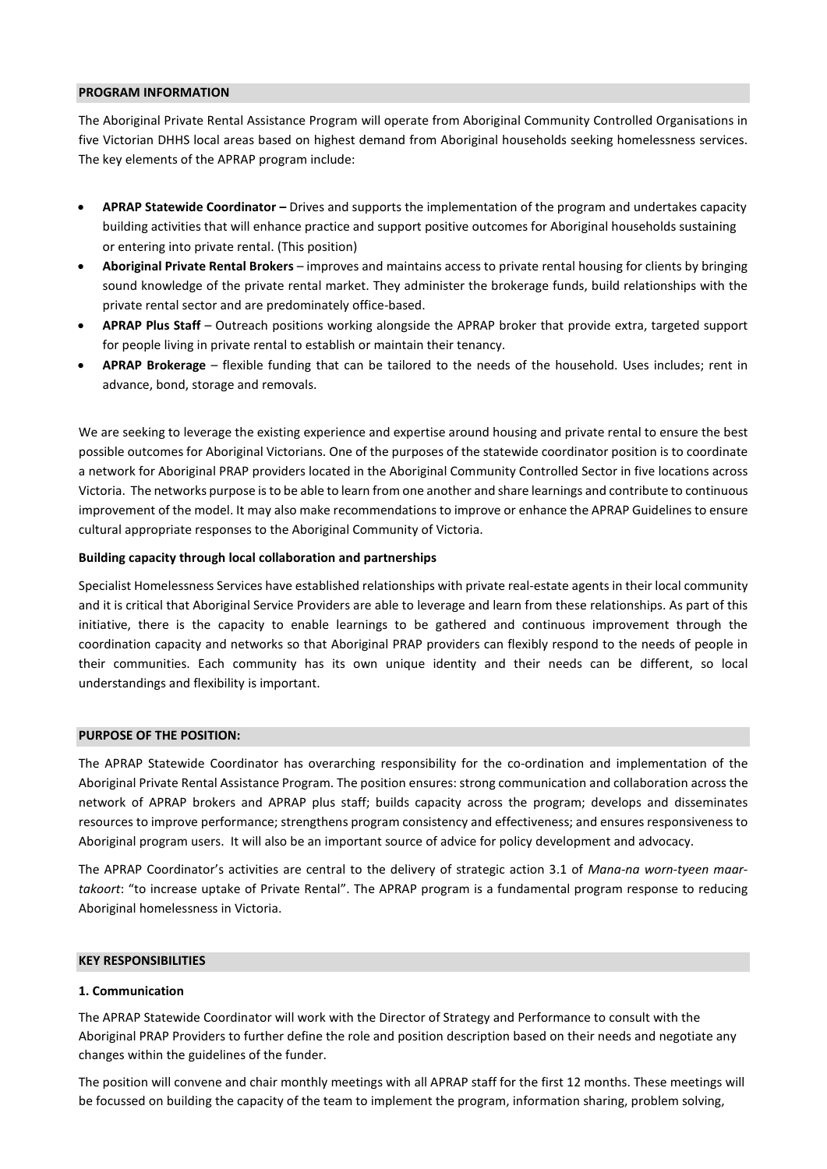#### **PROGRAM INFORMATION**

The Aboriginal Private Rental Assistance Program will operate from Aboriginal Community Controlled Organisations in five Victorian DHHS local areas based on highest demand from Aboriginal households seeking homelessness services. The key elements of the APRAP program include:

- **APRAP Statewide Coordinator –** Drives and supports the implementation of the program and undertakes capacity building activities that will enhance practice and support positive outcomes for Aboriginal households sustaining or entering into private rental. (This position)
- **Aboriginal Private Rental Brokers** improves and maintains access to private rental housing for clients by bringing sound knowledge of the private rental market. They administer the brokerage funds, build relationships with the private rental sector and are predominately office-based.
- **APRAP Plus Staff** Outreach positions working alongside the APRAP broker that provide extra, targeted support for people living in private rental to establish or maintain their tenancy.
- **APRAP Brokerage** flexible funding that can be tailored to the needs of the household. Uses includes; rent in advance, bond, storage and removals.

We are seeking to leverage the existing experience and expertise around housing and private rental to ensure the best possible outcomes for Aboriginal Victorians. One of the purposes of the statewide coordinator position is to coordinate a network for Aboriginal PRAP providers located in the Aboriginal Community Controlled Sector in five locations across Victoria. The networks purpose is to be able to learn from one another and share learnings and contribute to continuous improvement of the model. It may also make recommendations to improve or enhance the APRAP Guidelines to ensure cultural appropriate responses to the Aboriginal Community of Victoria.

#### **Building capacity through local collaboration and partnerships**

Specialist Homelessness Services have established relationships with private real-estate agents in their local community and it is critical that Aboriginal Service Providers are able to leverage and learn from these relationships. As part of this initiative, there is the capacity to enable learnings to be gathered and continuous improvement through the coordination capacity and networks so that Aboriginal PRAP providers can flexibly respond to the needs of people in their communities. Each community has its own unique identity and their needs can be different, so local understandings and flexibility is important.

#### **PURPOSE OF THE POSITION:**

The APRAP Statewide Coordinator has overarching responsibility for the co-ordination and implementation of the Aboriginal Private Rental Assistance Program. The position ensures: strong communication and collaboration across the network of APRAP brokers and APRAP plus staff; builds capacity across the program; develops and disseminates resources to improve performance; strengthens program consistency and effectiveness; and ensures responsiveness to Aboriginal program users. It will also be an important source of advice for policy development and advocacy.

The APRAP Coordinator's activities are central to the delivery of strategic action 3.1 of *Mana-na worn-tyeen maartakoort*: "to increase uptake of Private Rental". The APRAP program is a fundamental program response to reducing Aboriginal homelessness in Victoria.

#### **KEY RESPONSIBILITIES**

#### **1. Communication**

The APRAP Statewide Coordinator will work with the Director of Strategy and Performance to consult with the Aboriginal PRAP Providers to further define the role and position description based on their needs and negotiate any changes within the guidelines of the funder.

The position will convene and chair monthly meetings with all APRAP staff for the first 12 months. These meetings will be focussed on building the capacity of the team to implement the program, information sharing, problem solving,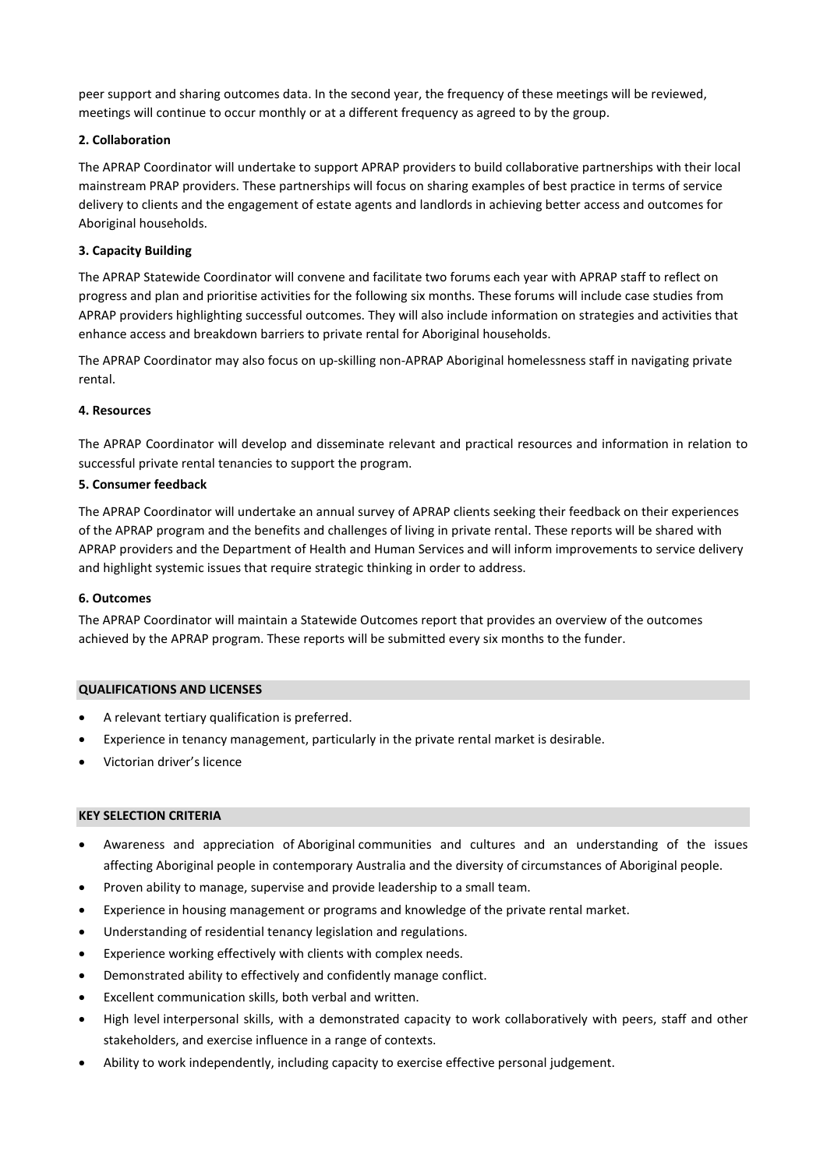peer support and sharing outcomes data. In the second year, the frequency of these meetings will be reviewed, meetings will continue to occur monthly or at a different frequency as agreed to by the group.

## **2. Collaboration**

The APRAP Coordinator will undertake to support APRAP providers to build collaborative partnerships with their local mainstream PRAP providers. These partnerships will focus on sharing examples of best practice in terms of service delivery to clients and the engagement of estate agents and landlords in achieving better access and outcomes for Aboriginal households.

## **3. Capacity Building**

The APRAP Statewide Coordinator will convene and facilitate two forums each year with APRAP staff to reflect on progress and plan and prioritise activities for the following six months. These forums will include case studies from APRAP providers highlighting successful outcomes. They will also include information on strategies and activities that enhance access and breakdown barriers to private rental for Aboriginal households.

The APRAP Coordinator may also focus on up-skilling non-APRAP Aboriginal homelessness staff in navigating private rental.

## **4. Resources**

The APRAP Coordinator will develop and disseminate relevant and practical resources and information in relation to successful private rental tenancies to support the program.

## **5. Consumer feedback**

The APRAP Coordinator will undertake an annual survey of APRAP clients seeking their feedback on their experiences of the APRAP program and the benefits and challenges of living in private rental. These reports will be shared with APRAP providers and the Department of Health and Human Services and will inform improvements to service delivery and highlight systemic issues that require strategic thinking in order to address.

## **6. Outcomes**

The APRAP Coordinator will maintain a Statewide Outcomes report that provides an overview of the outcomes achieved by the APRAP program. These reports will be submitted every six months to the funder.

## **QUALIFICATIONS AND LICENSES**

- A relevant tertiary qualification is preferred.
- Experience in tenancy management, particularly in the private rental market is desirable.
- Victorian driver's licence

## **KEY SELECTION CRITERIA**

- Awareness and appreciation of Aboriginal communities and cultures and an understanding of the issues affecting Aboriginal people in contemporary Australia and the diversity of circumstances of Aboriginal people.
- Proven ability to manage, supervise and provide leadership to a small team.
- Experience in housing management or programs and knowledge of the private rental market.
- Understanding of residential tenancy legislation and regulations.
- Experience working effectively with clients with complex needs.
- Demonstrated ability to effectively and confidently manage conflict.
- Excellent communication skills, both verbal and written.
- High level interpersonal skills, with a demonstrated capacity to work collaboratively with peers, staff and other stakeholders, and exercise influence in a range of contexts.
- Ability to work independently, including capacity to exercise effective personal judgement.